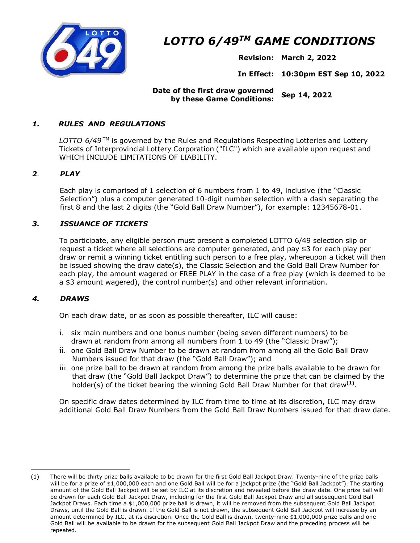

# *LOTTO 6/49TM GAME CONDITIONS*

**Revision: March 2, 2022** 

**In Effect: 10:30pm EST Sep 10, 2022** 

# **Date of the first draw governed by these Game Conditions: Sep 14, 2022**

# *1. RULES AND REGULATIONS*

LOTTO 6/49<sup>™</sup> is governed by the Rules and Regulations Respecting Lotteries and Lottery Tickets of Interprovincial Lottery Corporation ("ILC") which are available upon request and WHICH INCLUDE LIMITATIONS OF LIABILITY.

#### *2. PLAY*

Each play is comprised of 1 selection of 6 numbers from 1 to 49, inclusive (the "Classic Selection") plus a computer generated 10-digit number selection with a dash separating the first 8 and the last 2 digits (the "Gold Ball Draw Number"), for example: 12345678-01.

# *3. ISSUANCE OF TICKETS*

To participate, any eligible person must present a completed LOTTO 6/49 selection slip or request a ticket where all selections are computer generated, and pay \$3 for each play per draw or remit a winning ticket entitling such person to a free play, whereupon a ticket will then be issued showing the draw date(s), the Classic Selection and the Gold Ball Draw Number for each play, the amount wagered or FREE PLAY in the case of a free play (which is deemed to be a \$3 amount wagered), the control number(s) and other relevant information.

#### *4. DRAWS*

On each draw date, or as soon as possible thereafter, ILC will cause:

- i. six main numbers and one bonus number (being seven different numbers) to be drawn at random from among all numbers from 1 to 49 (the "Classic Draw");
- ii. one Gold Ball Draw Number to be drawn at random from among all the Gold Ball Draw Numbers issued for that draw (the "Gold Ball Draw"); and
- iii. one prize ball to be drawn at random from among the prize balls available to be drawn for that draw (the "Gold Ball Jackpot Draw") to determine the prize that can be claimed by the holder(s) of the ticket bearing the winning Gold Ball Draw Number for that draw**(1)**.

On specific draw dates determined by ILC from time to time at its discretion, ILC may draw additional Gold Ball Draw Numbers from the Gold Ball Draw Numbers issued for that draw date.

<sup>(1)</sup> There will be thirty prize balls available to be drawn for the first Gold Ball Jackpot Draw. Twenty-nine of the prize balls will be for a prize of \$1,000,000 each and one Gold Ball will be for a jackpot prize (the "Gold Ball Jackpot"). The starting amount of the Gold Ball Jackpot will be set by ILC at its discretion and revealed before the draw date. One prize ball will be drawn for each Gold Ball Jackpot Draw, including for the first Gold Ball Jackpot Draw and all subsequent Gold Ball Jackpot Draws. Each time a \$1,000,000 prize ball is drawn, it will be removed from the subsequent Gold Ball Jackpot Draws, until the Gold Ball is drawn. If the Gold Ball is not drawn, the subsequent Gold Ball Jackpot will increase by an amount determined by ILC, at its discretion. Once the Gold Ball is drawn, twenty-nine \$1,000,000 prize balls and one Gold Ball will be available to be drawn for the subsequent Gold Ball Jackpot Draw and the preceding process will be repeated.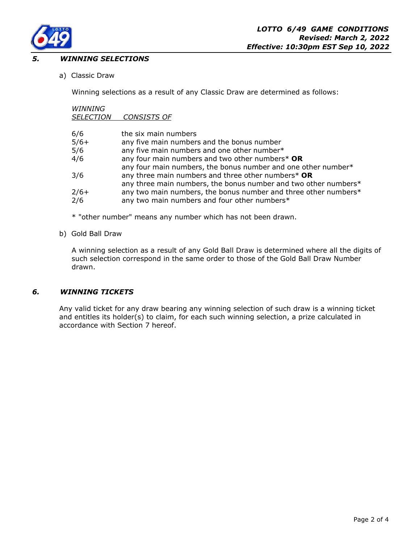

#### **WINNING SELECTIONS**

a) Classic Draw

Winning selections as a result of any Classic Draw are determined as follows:

# *WINNING*

*SELECTION CONSISTS OF*

| 6/6    | the six main numbers                                            |
|--------|-----------------------------------------------------------------|
| $5/6+$ | any five main numbers and the bonus number                      |
| 5/6    | any five main numbers and one other number*                     |
| 4/6    | any four main numbers and two other numbers* OR                 |
|        | any four main numbers, the bonus number and one other number*   |
| 3/6    | any three main numbers and three other numbers* OR              |
|        | any three main numbers, the bonus number and two other numbers* |
| $2/6+$ | any two main numbers, the bonus number and three other numbers* |
| 2/6    | any two main numbers and four other numbers*                    |
|        |                                                                 |

- \* "other number" means any number which has not been drawn.
- b) Gold Ball Draw

A winning selection as a result of any Gold Ball Draw is determined where all the digits of such selection correspond in the same order to those of the Gold Ball Draw Number drawn.

#### *6. WINNING TICKETS*

Any valid ticket for any draw bearing any winning selection of such draw is a winning ticket and entitles its holder(s) to claim, for each such winning selection, a prize calculated in accordance with Section 7 hereof.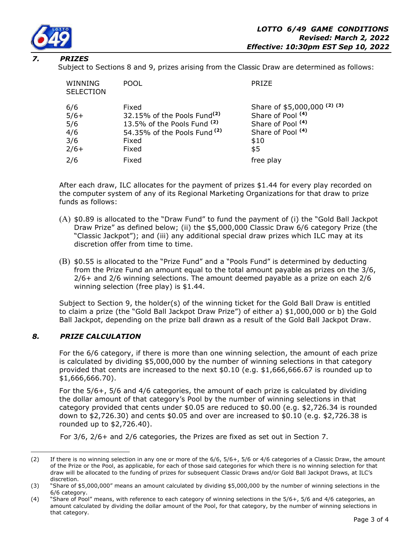

#### *7. PRIZES*

Subject to Sections 8 and 9, prizes arising from the Classic Draw are determined as follows:

| WINNING<br><b>SELECTION</b>                  | <b>POOL</b>                                                                                                                                             | <b>PRIZE</b>                                                                                                                     |
|----------------------------------------------|---------------------------------------------------------------------------------------------------------------------------------------------------------|----------------------------------------------------------------------------------------------------------------------------------|
| 6/6<br>$5/6+$<br>5/6<br>4/6<br>3/6<br>$2/6+$ | Fixed<br>32.15% of the Pools Fund <sup>(2)</sup><br>13.5% of the Pools Fund <sup>(2)</sup><br>54.35% of the Pools Fund <sup>(2)</sup><br>Fixed<br>Fixed | Share of \$5,000,000 (2) (3)<br>Share of Pool <sup>(4)</sup><br>Share of Pool (4)<br>Share of Pool <sup>(4)</sup><br>\$10<br>\$5 |
| 2/6                                          | Fixed                                                                                                                                                   | free play                                                                                                                        |

After each draw, ILC allocates for the payment of prizes \$1.44 for every play recorded on the computer system of any of its Regional Marketing Organizations for that draw to prize funds as follows:

- (A) \$0.89 is allocated to the "Draw Fund" to fund the payment of (i) the "Gold Ball Jackpot Draw Prize" as defined below; (ii) the \$5,000,000 Classic Draw 6/6 category Prize (the "Classic Jackpot"); and (iii) any additional special draw prizes which ILC may at its discretion offer from time to time.
- (B) \$0.55 is allocated to the "Prize Fund" and a "Pools Fund" is determined by deducting from the Prize Fund an amount equal to the total amount payable as prizes on the 3/6, 2/6+ and 2/6 winning selections. The amount deemed payable as a prize on each 2/6 winning selection (free play) is \$1.44.

Subject to Section 9, the holder(s) of the winning ticket for the Gold Ball Draw is entitled to claim a prize (the "Gold Ball Jackpot Draw Prize") of either a) \$1,000,000 or b) the Gold Ball Jackpot, depending on the prize ball drawn as a result of the Gold Ball Jackpot Draw.

#### *8. PRIZE CALCULATION*

For the 6/6 category, if there is more than one winning selection, the amount of each prize is calculated by dividing \$5,000,000 by the number of winning selections in that category provided that cents are increased to the next \$0.10 (e.g. \$1,666,666.67 is rounded up to \$1,666,666.70).

For the 5/6+, 5/6 and 4/6 categories, the amount of each prize is calculated by dividing the dollar amount of that category's Pool by the number of winning selections in that category provided that cents under \$0.05 are reduced to \$0.00 (e.g. \$2,726.34 is rounded down to \$2,726.30) and cents \$0.05 and over are increased to \$0.10 (e.g. \$2,726.38 is rounded up to \$2,726.40).

For 3/6, 2/6+ and 2/6 categories, the Prizes are fixed as set out in Section 7.

<sup>(2)</sup> If there is no winning selection in any one or more of the 6/6, 5/6+, 5/6 or 4/6 categories of a Classic Draw, the amount of the Prize or the Pool, as applicable, for each of those said categories for which there is no winning selection for that draw will be allocated to the funding of prizes for subsequent Classic Draws and/or Gold Ball Jackpot Draws, at ILC's discretion.

<sup>(3) &</sup>quot;Share of \$5,000,000" means an amount calculated by dividing \$5,000,000 by the number of winning selections in the 6/6 category.

<sup>(4) &</sup>quot;Share of Pool" means, with reference to each category of winning selections in the 5/6+, 5/6 and 4/6 categories, an amount calculated by dividing the dollar amount of the Pool, for that category, by the number of winning selections in that category.